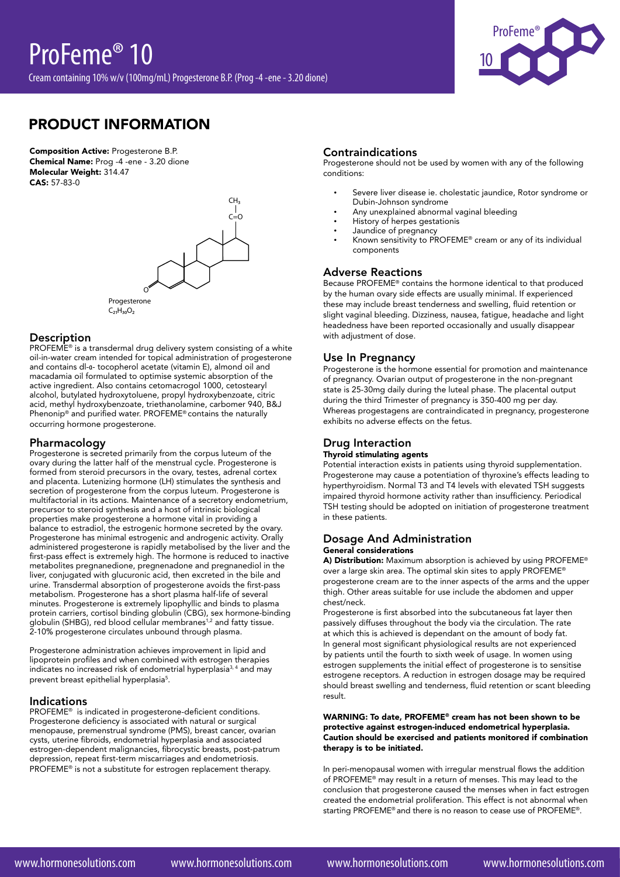

# PRODUCT INFORMATION

Composition Active: Progesterone B.P. Chemical Name: Prog -4 -ene - 3.20 dione Molecular Weight: 314.47 CAS: 57-83-0



## Description

PROFEME<sup>®</sup> is a transdermal drug delivery system consisting of a white oil-in-water cream intended for topical administration of progesterone and contains dl-α- tocopherol acetate (vitamin E), almond oil and macadamia oil formulated to optimise systemic absorption of the active ingredient. Also contains cetomacrogol 1000, cetostearyl alcohol, butylated hydroxytoluene, propyl hydroxybenzoate, citric acid, methyl hydroxybenzoate, triethanolamine, carbomer 940, B&J Phenonip® and purified water. PROFEME® contains the naturally occurring hormone progesterone.

### Pharmacology

Progesterone is secreted primarily from the corpus luteum of the ovary during the latter half of the menstrual cycle. Progesterone is formed from steroid precursors in the ovary, testes, adrenal cortex and placenta. Lutenizing hormone (LH) stimulates the synthesis and secretion of progesterone from the corpus luteum. Progesterone is multifactorial in its actions. Maintenance of a secretory endometrium, precursor to steroid synthesis and a host of intrinsic biological properties make progesterone a hormone vital in providing a balance to estradiol, the estrogenic hormone secreted by the ovary. Progesterone has minimal estrogenic and androgenic activity. Orally administered progesterone is rapidly metabolised by the liver and the first-pass effect is extremely high. The hormone is reduced to inactive metabolites pregnanedione, pregnenadone and pregnanediol in the liver, conjugated with glucuronic acid, then excreted in the bile and urine. Transdermal absorption of progesterone avoids the first-pass metabolism. Progesterone has a short plasma half-life of several minutes. Progesterone is extremely lipophyllic and binds to plasma protein carriers, cortisol binding globulin (CBG), sex hormone-binding globulin (SHBG), red blood cellular membranes<sup>1,2</sup> and fatty tissue. 2-10% progesterone circulates unbound through plasma.

Progesterone administration achieves improvement in lipid and lipoprotein profiles and when combined with estrogen therapies indicates no increased risk of endometrial hyperplasia3, 4 and may prevent breast epithelial hyperplasia<sup>5</sup>.

#### Indications

PROFEME® is indicated in progesterone-deficient conditions. Progesterone deficiency is associated with natural or surgical menopause, premenstrual syndrome (PMS), breast cancer, ovarian cysts, uterine fibroids, endometrial hyperplasia and associated estrogen-dependent malignancies, fibrocystic breasts, post-patrum depression, repeat first-term miscarriages and endometriosis. PROFEME® is not a substitute for estrogen replacement therapy.

# Contraindications

Progesterone should not be used by women with any of the following conditions:

- Severe liver disease ie. cholestatic jaundice, Rotor syndrome or Dubin-Johnson syndrome
- Any unexplained abnormal vaginal bleeding
- History of herpes gestationis
- Jaundice of pregnancy
- • Known sensitivity to PROFEME® cream or any of its individual components

# Adverse Reactions

Because PROFEME® contains the hormone identical to that produced by the human ovary side effects are usually minimal. If experienced these may include breast tenderness and swelling, fluid retention or slight vaginal bleeding. Dizziness, nausea, fatigue, headache and light headedness have been reported occasionally and usually disappear with adjustment of dose.

# Use In Pregnancy

Progesterone is the hormone essential for promotion and maintenance of pregnancy. Ovarian output of progesterone in the non-pregnant state is 25-30mg daily during the luteal phase. The placental output during the third Trimester of pregnancy is 350-400 mg per day. Whereas progestagens are contraindicated in pregnancy, progesterone exhibits no adverse effects on the fetus.

# Drug Interaction

## Thyroid stimulating agents

Potential interaction exists in patients using thyroid supplementation. Progesterone may cause a potentiation of thyroxine's effects leading to hyperthyroidism. Normal T3 and T4 levels with elevated TSH suggests impaired thyroid hormone activity rather than insufficiency. Periodical TSH testing should be adopted on initiation of progesterone treatment in these patients.

# Dosage And Administration General considerations

A) Distribution: Maximum absorption is achieved by using PROFEME® over a large skin area. The optimal skin sites to apply PROFEME® progesterone cream are to the inner aspects of the arms and the upper thigh. Other areas suitable for use include the abdomen and upper chest/neck.

Progesterone is first absorbed into the subcutaneous fat layer then passively diffuses throughout the body via the circulation. The rate at which this is achieved is dependant on the amount of body fat. In general most significant physiological results are not experienced by patients until the fourth to sixth week of usage. In women using estrogen supplements the initial effect of progesterone is to sensitise estrogene receptors. A reduction in estrogen dosage may be required should breast swelling and tenderness, fluid retention or scant bleeding result.

#### WARNING: To date, PROFEME® cream has not been shown to be protective against estrogen-induced endometrical hyperplasia. Caution should be exercised and patients monitored if combination therapy is to be initiated.

In peri-menopausal women with irregular menstrual flows the addition of PROFEME® may result in a return of menses. This may lead to the conclusion that progesterone caused the menses when in fact estrogen created the endometrial proliferation. This effect is not abnormal when starting PROFEME® and there is no reason to cease use of PROFEME®.

www.hormonesolutions.com www.hormonesolutions.com www.hormonesolutions.com www.hormonesolutions.com